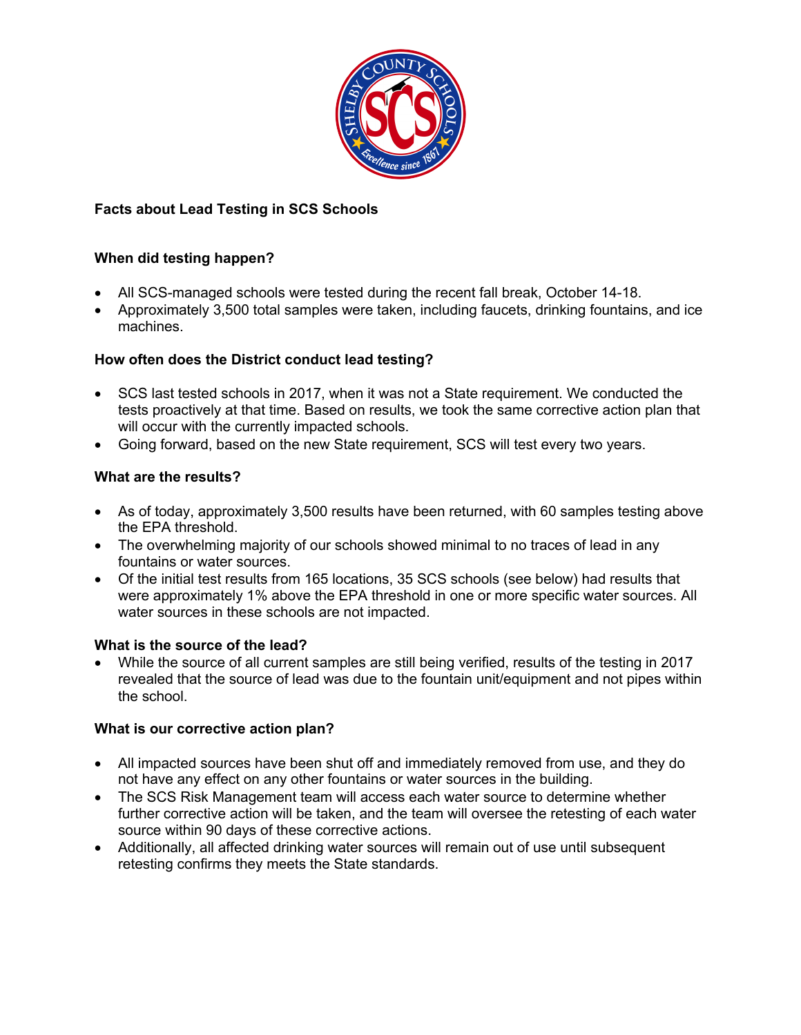

## **Facts about Lead Testing in SCS Schools**

## **When did testing happen?**

- All SCS-managed schools were tested during the recent fall break, October 14-18.
- Approximately 3,500 total samples were taken, including faucets, drinking fountains, and ice machines.

## **How often does the District conduct lead testing?**

- SCS last tested schools in 2017, when it was not a State requirement. We conducted the tests proactively at that time. Based on results, we took the same corrective action plan that will occur with the currently impacted schools.
- Going forward, based on the new State requirement, SCS will test every two years.

## **What are the results?**

- As of today, approximately 3,500 results have been returned, with 60 samples testing above the EPA threshold.
- The overwhelming majority of our schools showed minimal to no traces of lead in any fountains or water sources.
- Of the initial test results from 165 locations, 35 SCS schools (see below) had results that were approximately 1% above the EPA threshold in one or more specific water sources. All water sources in these schools are not impacted.

#### **What is the source of the lead?**

• While the source of all current samples are still being verified, results of the testing in 2017 revealed that the source of lead was due to the fountain unit/equipment and not pipes within the school.

## **What is our corrective action plan?**

- All impacted sources have been shut off and immediately removed from use, and they do not have any effect on any other fountains or water sources in the building.
- The SCS Risk Management team will access each water source to determine whether further corrective action will be taken, and the team will oversee the retesting of each water source within 90 days of these corrective actions.
- Additionally, all affected drinking water sources will remain out of use until subsequent retesting confirms they meets the State standards.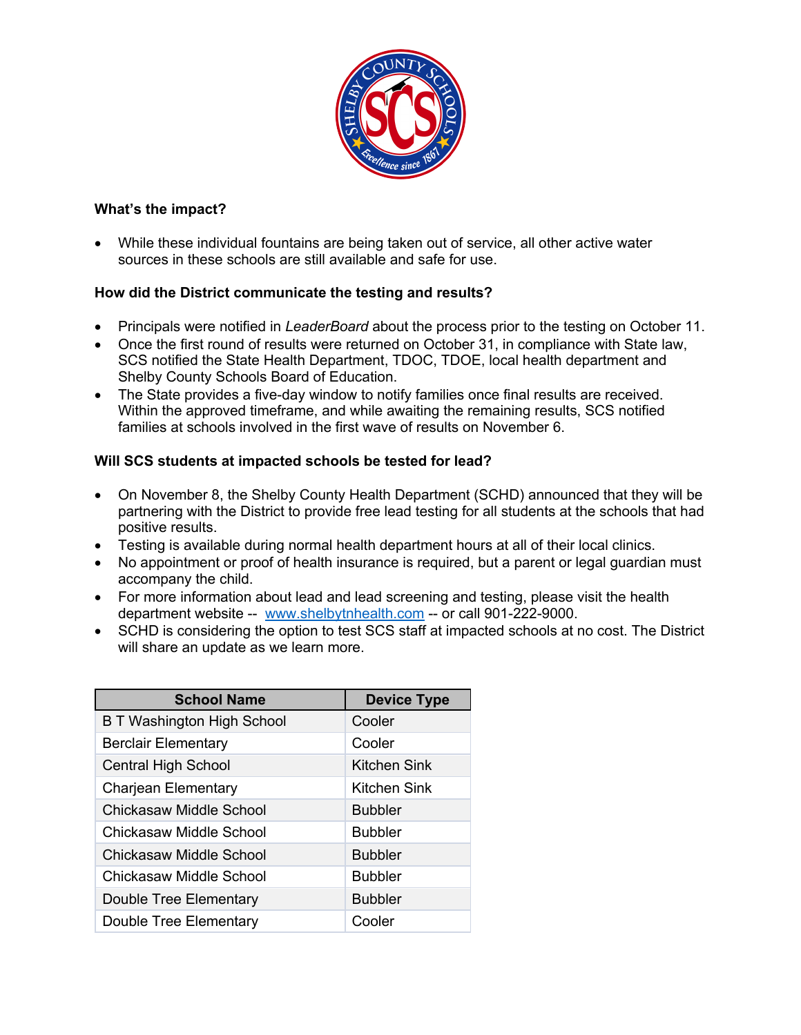

## **What's the impact?**

• While these individual fountains are being taken out of service, all other active water sources in these schools are still available and safe for use.

## **How did the District communicate the testing and results?**

- Principals were notified in *LeaderBoard* about the process prior to the testing on October 11.
- Once the first round of results were returned on October 31, in compliance with State law, SCS notified the State Health Department, TDOC, TDOE, local health department and Shelby County Schools Board of Education.
- The State provides a five-day window to notify families once final results are received. Within the approved timeframe, and while awaiting the remaining results, SCS notified families at schools involved in the first wave of results on November 6.

# **Will SCS students at impacted schools be tested for lead?**

- On November 8, the Shelby County Health Department (SCHD) announced that they will be partnering with the District to provide free lead testing for all students at the schools that had positive results.
- Testing is available during normal health department hours at all of their local clinics.
- No appointment or proof of health insurance is required, but a parent or legal quardian must accompany the child.
- For more information about lead and lead screening and testing, please visit the health department website -- www.shelbytnhealth.com -- or call 901-222-9000.
- SCHD is considering the option to test SCS staff at impacted schools at no cost. The District will share an update as we learn more.

| <b>School Name</b>                | <b>Device Type</b> |
|-----------------------------------|--------------------|
| <b>B T Washington High School</b> | Cooler             |
| <b>Berclair Elementary</b>        | Cooler             |
| <b>Central High School</b>        | Kitchen Sink       |
| <b>Charjean Elementary</b>        | Kitchen Sink       |
| Chickasaw Middle School           | <b>Bubbler</b>     |
| Chickasaw Middle School           | <b>Bubbler</b>     |
| Chickasaw Middle School           | <b>Bubbler</b>     |
| Chickasaw Middle School           | <b>Bubbler</b>     |
| Double Tree Elementary            | <b>Bubbler</b>     |
| Double Tree Elementary            | Cooler             |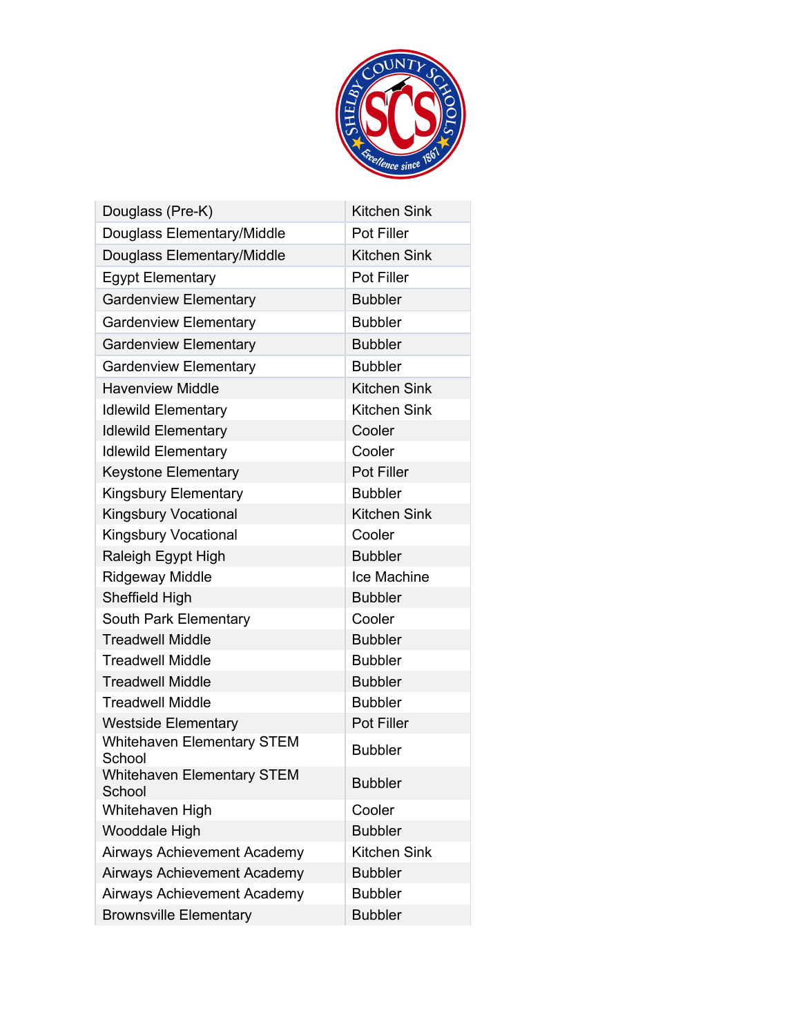

| Douglass (Pre-K)                            | <b>Kitchen Sink</b> |  |
|---------------------------------------------|---------------------|--|
| Douglass Elementary/Middle                  | <b>Pot Filler</b>   |  |
| Douglass Elementary/Middle                  | <b>Kitchen Sink</b> |  |
| <b>Egypt Elementary</b>                     | <b>Pot Filler</b>   |  |
| <b>Gardenview Elementary</b>                | <b>Bubbler</b>      |  |
| <b>Gardenview Elementary</b>                | <b>Bubbler</b>      |  |
| <b>Gardenview Elementary</b>                | <b>Bubbler</b>      |  |
| <b>Gardenview Elementary</b>                | <b>Bubbler</b>      |  |
| <b>Havenview Middle</b>                     | <b>Kitchen Sink</b> |  |
| <b>Idlewild Elementary</b>                  | <b>Kitchen Sink</b> |  |
| <b>Idlewild Elementary</b>                  | Cooler              |  |
| <b>Idlewild Elementary</b>                  | Cooler              |  |
| <b>Keystone Elementary</b>                  | <b>Pot Filler</b>   |  |
| <b>Kingsbury Elementary</b>                 | <b>Bubbler</b>      |  |
| <b>Kingsbury Vocational</b>                 | <b>Kitchen Sink</b> |  |
| <b>Kingsbury Vocational</b>                 | Cooler              |  |
| Raleigh Egypt High                          | <b>Bubbler</b>      |  |
| <b>Ridgeway Middle</b>                      | Ice Machine         |  |
| Sheffield High                              | <b>Bubbler</b>      |  |
| South Park Elementary                       | Cooler              |  |
| <b>Treadwell Middle</b>                     | <b>Bubbler</b>      |  |
| <b>Treadwell Middle</b>                     | <b>Bubbler</b>      |  |
| <b>Treadwell Middle</b>                     | <b>Bubbler</b>      |  |
| <b>Treadwell Middle</b>                     | <b>Bubbler</b>      |  |
| <b>Westside Elementary</b>                  | Pot Filler          |  |
| <b>Whitehaven Elementary STEM</b><br>School | <b>Bubbler</b>      |  |
| <b>Whitehaven Elementary STEM</b><br>School | <b>Bubbler</b>      |  |
| Whitehaven High                             | Cooler              |  |
| Wooddale High                               | <b>Bubbler</b>      |  |
| <b>Airways Achievement Academy</b>          | <b>Kitchen Sink</b> |  |
| Airways Achievement Academy                 | <b>Bubbler</b>      |  |
| Airways Achievement Academy                 | <b>Bubbler</b>      |  |
| <b>Brownsville Elementary</b>               | <b>Bubbler</b>      |  |